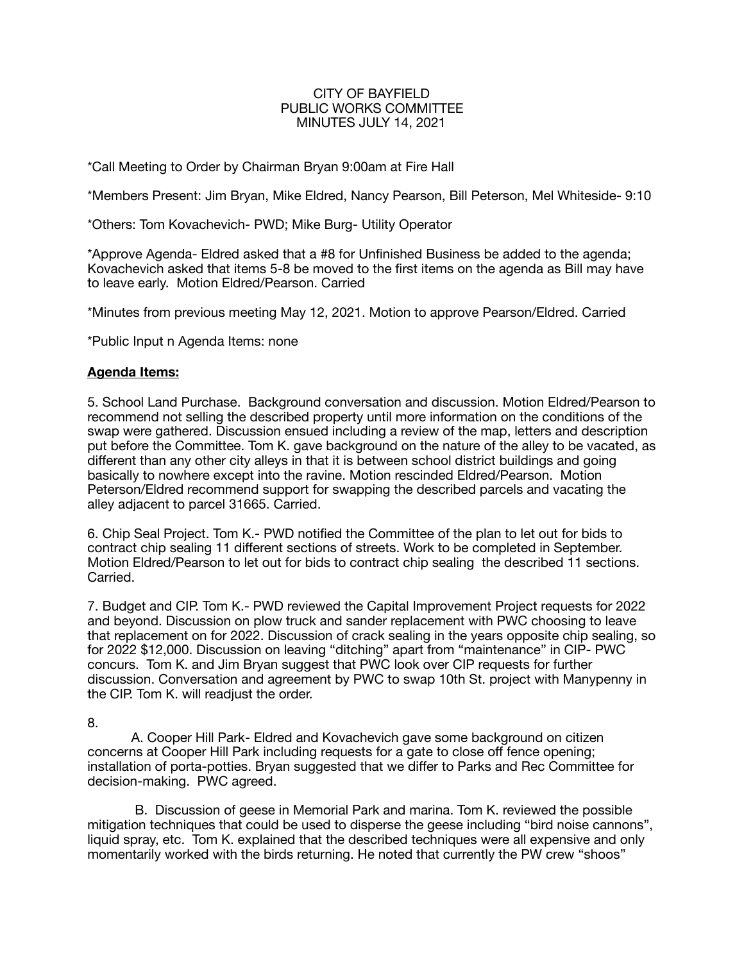## CITY OF BAYFIELD PUBLIC WORKS COMMITTEE MINUTES JULY 14, 2021

\*Call Meeting to Order by Chairman Bryan 9:00am at Fire Hall

\*Members Present: Jim Bryan, Mike Eldred, Nancy Pearson, Bill Peterson, Mel Whiteside- 9:10

\*Others: Tom Kovachevich- PWD; Mike Burg- Utility Operator

\*Approve Agenda- Eldred asked that a #8 for Unfinished Business be added to the agenda; Kovachevich asked that items 5-8 be moved to the first items on the agenda as Bill may have to leave early. Motion Eldred/Pearson. Carried

\*Minutes from previous meeting May 12, 2021. Motion to approve Pearson/Eldred. Carried

\*Public Input n Agenda Items: none

## **Agenda Items:**

5. School Land Purchase. Background conversation and discussion. Motion Eldred/Pearson to recommend not selling the described property until more information on the conditions of the swap were gathered. Discussion ensued including a review of the map, letters and description put before the Committee. Tom K. gave background on the nature of the alley to be vacated, as different than any other city alleys in that it is between school district buildings and going basically to nowhere except into the ravine. Motion rescinded Eldred/Pearson. Motion Peterson/Eldred recommend support for swapping the described parcels and vacating the alley adjacent to parcel 31665. Carried.

6. Chip Seal Project. Tom K.- PWD notified the Committee of the plan to let out for bids to contract chip sealing 11 different sections of streets. Work to be completed in September. Motion Eldred/Pearson to let out for bids to contract chip sealing the described 11 sections. Carried.

7. Budget and CIP. Tom K.- PWD reviewed the Capital Improvement Project requests for 2022 and beyond. Discussion on plow truck and sander replacement with PWC choosing to leave that replacement on for 2022. Discussion of crack sealing in the years opposite chip sealing, so for 2022 \$12,000. Discussion on leaving "ditching" apart from "maintenance" in CIP- PWC concurs. Tom K. and Jim Bryan suggest that PWC look over CIP requests for further discussion. Conversation and agreement by PWC to swap 10th St. project with Manypenny in the CIP. Tom K. will readjust the order.

8.

A. Cooper Hill Park- Eldred and Kovachevich gave some background on citizen concerns at Cooper Hill Park including requests for a gate to close off fence opening; installation of porta-potties. Bryan suggested that we differ to Parks and Rec Committee for decision-making. PWC agreed.

 B. Discussion of geese in Memorial Park and marina. Tom K. reviewed the possible mitigation techniques that could be used to disperse the geese including "bird noise cannons", liquid spray, etc. Tom K. explained that the described techniques were all expensive and only momentarily worked with the birds returning. He noted that currently the PW crew "shoos"